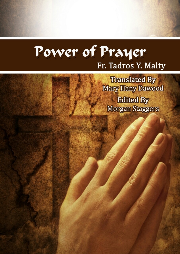# Power of Prayer Fr. Tadros Y. Malty

**Translated By Mary Hany Dawood Edited By Morgan Staggers** 

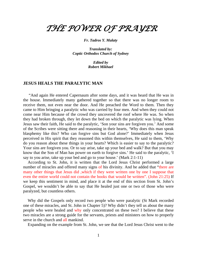## *THE POWER OF PRAYER*

*Fr. Tadros Y. Malaty*

*Translated by: Coptic Orthodox Church of Sydney*

> *Edited by Robert Mikhael*

#### **JESUS HEALS THE PARALYTIC MAN**

 "And again He entered Capernaum after some days, and it was heard that He was in the house. Immediately many gathered together so that there was no longer room to receive them, not even near the door. And He preached the Word to them. Then they came to Him bringing a paralytic who was carried by four men. And when they could not come near Him because of the crowd they uncovered the roof where He was. So when they had broken through, they let down the bed on which the paralytic was lying. When Jesus saw their faith, He said to the paralytic, 'Son your sins are forgiven you.' And some of the Scribes were sitting there and reasoning in their hearts, 'Why does this man speak blasphemy like this? Who can forgive sins but God alone?' Immediately when Jesus perceived in His spirit that they reasoned this within themselves, He said to them, 'Why do you reason about these things in your hearts? Which is easier to say to the paralytic? Your sins are forgiven you. Or to say arise, take up your bed and walk? But that you may know that the Son of Man has power on earth to forgive sins.' He said to the paralytic, 'I say to you arise, take up your bed and go to your house.' (Mark 2:1-11)

According to St. John, it is written that the Lord Jesus Christ performed a large number of miracles and offered many signs of his divinity. And he added that "there are many other things that Jesus did ,which if they were written one by one I suppose that even the entire world could not contain the books that would be written". (John 21:25) If we keep this sentiment in mind, and place it at the end of this section from St. John's Gospel, we wouldn't be able to say that He healed just one or two of those who were paralyzed, but countless others.

Why did the Gospels only record two people who were paralytic (St Mark recorded one of these miracles, and St. John in Chapter 5)? Why didn't they tell us about the many people who were healed and why only concentrated on these two? I believe that these two miracles are a strong guide for the servants, priests and ministers on how to properly serve in the church and all mankind.

Expanding on the example from St. John, we see that the Lord Jesus Christ went to the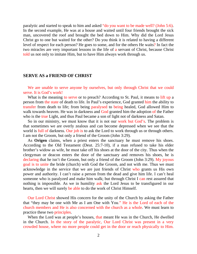paralytic and started to speak to him and asked "do you want to be made well? (John 5:6). In the second example, He was at a house and waited until four friends brought the sick man, uncovered the roof and brought the bed down to Him. Why did the Lord Jesus Christ go to one but waited for the other? Do you think it is related to having a different level of respect for each person? He goes to some, and for the others He waits? In fact the two miracles are very important lessons in the life of a servant of Christ, because Christ told us not only to imitate Him, but to have Him always work through us.

#### **SERVE AS a FRIEND OF CHRIST**

We are unable to serve anyone by ourselves, but only through Christ that we could serve. It is God's work!

What is the meaning to serve or to preach? According to St. Paul, it means to lift up a person from the state of death to life. In Paul's experience, God granted him the ability to transfer from death to life; from being paralysed to being healed, God allowed Him to walk towards heaven. He was in darkness and God granted him the adoption of the Father who is the true Light, and thus Paul became a son of light not of darkness and Satan.

So in our ministry, we must know that it is not our work but God's. The problem is that sometimes we are overly zealous and can become depressed when we see that the world is full of darkness. Our job is to ask the Lord to work through us or through others. I am not the Groom, but only a friend of the Groom (John 3:29).

As **Origen** claims, when a priest enters the sanctuary he must remove his shoes. According to the Old Testament (Deut. 25:7-10), if a man refused to take his elder brother's widow as wife, he must take off his shoes at the door of the city. Thus when the clergyman or deacon enters the door of the sanctuary and removes his shoes, he is declaring that he isn't the Groom, but only a friend of the Groom (John 3:29). My joyous goal is to unite the bride (church) with God the Groom, and not with me. Thus we must acknowledge in the service that we are just friends of Christ who grants us His own power and authority. I can't raise a person from the dead and give him life. I can't heal someone who is paralyzed and make him walk; but through Christ I can rest assured that nothing is impossible. As we in humility ask the Lord Jesus to be transfigured in our hearts, then we will surely be able to do the work of Christ Himself.

Our Lord Christ showed His concern for the unity of the Church by asking the Father that "they may be one with Me as I am One with You." He is the Lord of each of the church members and He is also concerned with the church as a whole. We must learn to practice these two principles.

When the Lord was at people's houses, that meant He was in the Church, He dwelled in the Church. In the story of the paralytic, Our Lord Christ was present in a very crowded house, where no more people could get in the door or reach physically to Him.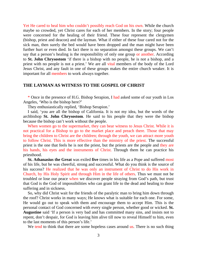Yet He cared to heal him who couldn't possibly reach God on his own. While the church maybe so crowded, yet Christ cares for each of her members. In the story; four people were concerned for the healing of their friend. These four represent the clergymen (bishop, priest and deacon) and the layman. What if either of these four cared not for the sick man, then surely the bed would have been dropped and the man might have been further hurt or even died. In fact there is no separation amongst these groups. We can't say that a person's healing is the responsibility of only one group or another. According to **St. John Chrysostom** 'if there is a bishop with no people, he is not a bishop, and a priest with no people is not a priest.' We are all vital members of the body of the Lord Jesus Christ, and any fault in one of these groups makes the entire church weaker. It is important for all members to work always together.

#### **THE LAYMAN AS WITNESS TO THE GOSPEL OF CHRIST**

\* Once in the presence of H.G. Bishop Serapion, I had asked some of our youth in Los Angeles, 'Who is the bishop here?'

They enthusiastically replied, 'Bishop Serapion.'

I said, 'you are all the bishop of California. It is not my idea, but the words of the archbishop **St. John Chrysostom**. He said to his people that they were the bishop because the bishop can't work without the people.

When women go to the supermarket, they can bear witness to Jesus Christ. While it is not practical for a Bishop to go to the market place and preach there. Those that may bring the children to Christ are the children; through the youth, we can attract more youth to follow Christ. This is more effective than the ministry of the priest. The successful priest is the one that feels he is not the priest, but the priests are the people and they are his hands, his eyes and the instruments of Christ. Through them he can practice his priesthood.

**St. Athanasius the Great** was exiled **five** times in his life as a Pope and suffered most of his life, but he was cheerful, strong and successful. What do you think is the source of his success? He realized that he was only an instrument of Christ to do His work in Church, by His Holy Spirit and through Him in the life of others. Thus we must not be troubled or lose our peace when we discover people straying from God's path, but trust that God is the God of impossibilities who can grant life to the dead and healing to those suffering and in sickness.

So, why did Christ wait for the friends of the paralytic man to bring him down through the roof? Christ works in many ways; He knows what is suitable for each one. For some, He would go out to speak with them and encourage them to accept Him. This is the personal contact of God concerned with every single person, whether good or wicked. **St. Augustine** said 'If a person is very bad and has committed many sins, and insists not to repent, don't despair, for God is leaving him alive till now to reveal Himself to him, even to the last moments of this person's life.'

We tend to think that there are some hopeless cases around us. There is no such thing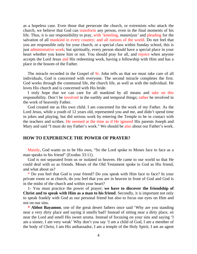as a hopeless case. Even those that persecute the church, or extremists who attack the church, we believe that God can transform any person, even in the final moments of his life. Thus, it is our responsibility to pray, with 'kneeling, *mataniyas'* and pleading for the salvation of all mankind in every country; and all nations of the world. Do not feel that you are responsible only for your church, or a special class within Sunday school, this is just administrative work; but spiritually, every person should have a special place in your heart whether you know him or not. You should pray for all, and rejoice when anyone accepts the Lord Jesus and His redeeming work, having a fellowship with Him and has a place in the bosom of the Father.

The miracle recorded in the Gospel of St. John tells us that we must take care of all individuals, God is concerned with everyone. The second miracle completes the first. God works through the communal life, the church life, as well as with the individual. He loves His church and is concerned with His bride.

I truly hope that we can care for all mankind by all means and take on this responsibility. Don't be involved in the earthly and temporal things; rather be involved in the work of heavenly Father.

God created me as His own child. I am concerned for the work of my Father. As the Lord Jesus, while a youth of 12 years old, represented you and me, and didn't spend time in jokes and playing, but did serious work by entering the Temple to be in contact with the teachers and scribes. He seemed at the time as if He ignored His parents Joseph and Mary and said "I must do my Father's work." We should be also about our Father's work.

#### **HOW TO EXPERIENCE THE POWER OF PRAYER?**

Mainly, God wants us to be His own, "So the Lord spoke to Moses face to face as a man speaks to his friend" (Exodus 33:11).

God is not separated from us or isolated in heaven. He came to our world so that He could deal with us as friends. Moses of the Old Testament spoke to God as His friend, and what about us?

\* Do you feel that God is your friend? Do you speak with Him face to face? In your private room or at church, do you feel that you are in heaven in front of God and God is in the midst of the church and within your heart?

1- You must practice the power of prayer; **we have to discover the friendship of Christ and to speak with Him as a man to his friend**. Secondly, it is important not only to speak frankly with God as our personal friend but also to focus our eyes on Him and not on our sins.

**\* Abbot Bayamon**, one of the great desert fathers once said 'Why are you standing near a very dirty place and saying it smells bad? Instead of sitting near a dirty place, sit near the Lord and smell His sweet aroma. Instead of focusing on your sins and saying 'I am a sinner, I am very weak' Why don't you say 'I am a child of God, I am a member of the body of Christ, I am His ambassador, I am a temple of the Holy Spirit, I am an agent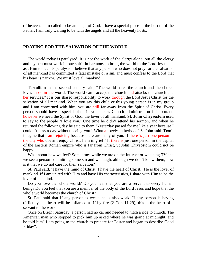of heaven, I am called to be an angel of God, I have a special place in the bosom of the Father, I am truly waiting to be with the angels and all the heavenly hosts.

#### **PRAYING FOR THE SALVATION OF THE WORLD**

The world today is paralysed. It is not the work of the clergy alone, but all the clergy and laymen must work in one spirit in harmony to bring the world to the Lord Jesus and ask Him to heal its paralysis. I believe that any person who does not pray for the salvation of all mankind has committed a fatal mistake or a sin, and must confess to the Lord that his heart is narrow. We must love all mankind.

**Tertullian** in the second century said, "The world hates the church and the church loves those in the world. The world can't accept the church and attacks the church and her services." It is our shared responsibility to work through the Lord Jesus Christ for the salvation of all mankind. When you say this child or this young person is in my group and I am concerned with him, you are still far away from the Spirit of Christ. Every person should have a special place in your heart. Church administration is important; however we need the Spirit of God, the lover of all mankind. **St. John Chrysostom** used to say to the people 'I love you.' One time he didn't attend his sermon, and when he returned the following day he said to them 'Yesterday passed for me like a year because I couldn't pass a day without seeing you.' What a lovely fatherhood! St John said 'Don't imagine that I am rejoicing because there are many of you. If there is just one person in the city who doesn't enjoy Christ, I am in grief.' If there is just one person in the capital of the Eastern Roman empire who is far from Christ, St John Chrysostom could not be happy.

What about how we feel? Sometimes while we are on the Internet or watching TV and we see a person committing some sin and we laugh, although we don't know them, how is it that we do not care for their salvation?

St. Paul said, 'I have the mind of Christ. I have the heart of Christ.' He is the lover of mankind. If I am united with Him and have His characteristics, I share with Him to be the lover of mankind.

Do you love the whole world? Do you feel that you are a servant to every human being? Do you feel that you are a member of the body of the Lord Jesus and hope that the whole world becomes the church of Christ?

St. Paul said that if any person is weak, he is also weak. If any person is having difficulty, his heart will be inflamed as if by fire (2 Cor. 11:29), this is the heart of a servant to the world.

Once on Bright Saturday, a person had no car and needed to hitch a ride to church. The American man who stopped to pick him up asked where he was going at midnight, and he told him" I am going to the church to prepare for Easter and began to describe Good Friday".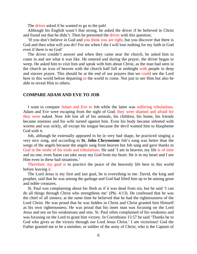The driver asked if he wanted to go to the pub!

Although his English wasn't that strong, he asked the driver if he believed in Christ and found out that he didn't. Then he presented the driver with this question;

'If you don't believe in God and you think you are right, but you discover that there is God and then what will you do? For me when I die I will lose nothing for my faith in God even if there is no God'

The driver couldn't answer and when they came near the church, he asked him to come in and see what it was like. He entered and during the prayer, the driver began to weep. He asked him to visit him and speak with him about Christ, as the man had seen in the church an icon of heaven with the church half full at midnight with people in deep and sincere prayer. This should be at the end of our prayers that we could see the Lord here in this world before departing to the world to come. Not just to see Him but also be able to reveal Him to others.

#### **COMPARE ADAM AND EVE TO JOB**

I want to compare Adam and Eve to Job while the latter was suffering tribulations. Adam and Eve were escaping from the sight of God; they were shamed and afraid for they were naked. Now Job lost all of his animals, his children, his home, his friends became enemies and his wife turned against him. Even his body became infested with worms and was sickly, all except his tongue because the devil wanted him to blaspheme God with it.

Job, although he externally appeared to be in very bad shape, he practiced singing a very nice song, and according to **St. John Chrysostom** Job's song was better than the songs of the angels because the angels sang from heaven but Job sang and gave thanks to God in the midst of his trials and tribulations. He said 'I am in heaven; my life is of time and no one, even Satan can take away my God from my heart. He is in my heart and I see Him even in these bad situations.'

Therefore; my goal is to practice the peace of the heavenly life here in this world before leaving it.

The Lord Jesus is my first and last goal, he is everything to me. David, the king and prophet, said that he was among the garbage and God had lifted him up to be among great and noble creatures.

St. Paul was complaining about his flesh as if it was dead from sin, but he said 'I can do all things through Christ who strengthens me' (Phi. 4:13). He confessed that he was the chief of all sinners; at the same time he believed that he had the righteousness of the Lord Christ. He was proud that he was hidden in Christ and Christ granted him Himself as his own righteousness. He was proud that his inner man was focusing on the Lord Jesus and not on his weaknesses and sins. St. Paul often complained of his weakness and was focusing on the Lord to grant him victory. In Corinthians 15:57 he said 'Thanks be to God who gives us the victory through our Lord Jesus Christ.' I am victorious! God the Father granted me to be a member, or soldier of the army of Christ, who is the Captain of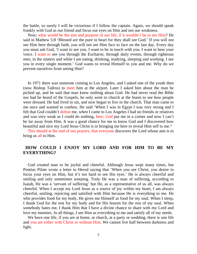the battle, so surely I will be victorious if I follow the captain. Again, we should speak frankly with God as our friend and focus our eyes on Him and not our weakness.

Now; what would be the aim and purpose of our life, if it wouldn't be to see Him? He said in Mathew 5:8 'Blessed are the pure in heart for they shall see God.' If you will not see Him here through faith, you will not see Him face to face on the last day. Every day you must ask God, 'I want to see you. I want to be in touch with you. I want to hear your voice. I want to see you through the Eucharist, through daily events, through righteous men, in the sinners and while I am eating, drinking, studying, sleeping and working. I see you in every single moment.' God wants to reveal Himself to you and me. Why do we prevent ourselves from seeing Him?

In 1971 there was someone coming to Los Angeles, and I asked one of the youth then (now Bishop Tadros) to meet him at the airport. Later I asked him about the man he picked up, and he said that man knew nothing about God. He had never read the Bible nor had he heard of the Gospels, he only went to church at the feasts to see how people were dressed. He had lived in sin, and now began to live in the church. That man came to me once and wanted to confess. He said 'When I was in Egypt I was very strong and I felt that God couldn't defeat me, when I came to Los Angeles I had no friends or relatives and was very weak as I could do nothing, here; God put me in a corner and now I can't be far away from Him. It was a good chance for me to know God and I discovered how beautiful and nice my Lord Jesus Christ is in bringing me here to reveal Him self to me."

This should at the end of our prayers, that everyone discovers the Lord whose aim is to bring us all to Him.

### **HOW COULD I ENJOY MY LORD AND FOR HIM TO BE MY EVERYTHING?**

God created man to be joyful and cheerful. Although Jesus wept many times, but Pontius Pilate wrote a letter to Herod saying that 'When you see Christ, you desire to focus your eyes on Him, but it's too hard to see His eyes.' He is always cheerful and smiling and only sometimes weeping. Truly He was a man of suffering, according to Isaiah, He was a 'servant of suffering' but He, as a representative of us all, was always cheerful. When I accept my Lord Jesus as a source of joy within my heart, I am always cheerful, smiling, rejoicing and satisfied with Him because He is everything to me. He who provides food for my body, He gives me Himself as food for my soul. When I sleep, I thank God for the rest for my body and for His bosom for the rest of my soul. When somebody hates me, I thank Him that I have a divine chance to share with my Lord and love my enemies. In all things, I see Him as everything to me and satisfy all of my needs.

We have one life, if you are at home, at church, at a party or wedding, there is one life and you are either with Christ or without Him. We cannot live half between darkness and light.